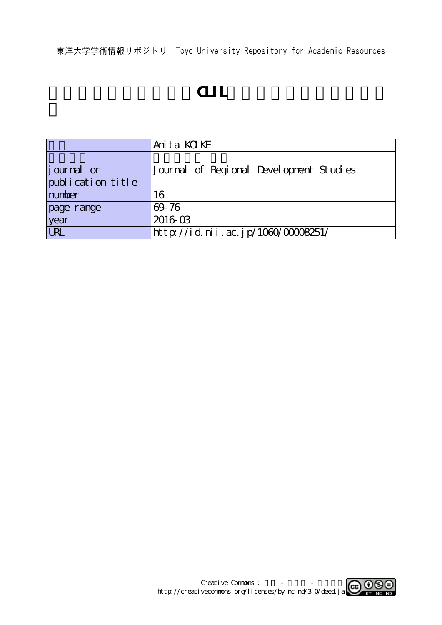東洋大学学術情報リポジトリ Toyo University Repository for Academic Resources

# ート<br>この中には<sub>この</sub><br>この日には、

|                   | Anita KOIKE                             |
|-------------------|-----------------------------------------|
|                   |                                         |
| journal or        | Journal of Regional Development Studies |
| publication title |                                         |
| number            | 16                                      |
| page range        | 69 76                                   |
| year<br>URL       | 201603                                  |
|                   | http://id.nii.ac.jp/1060/00008251/      |

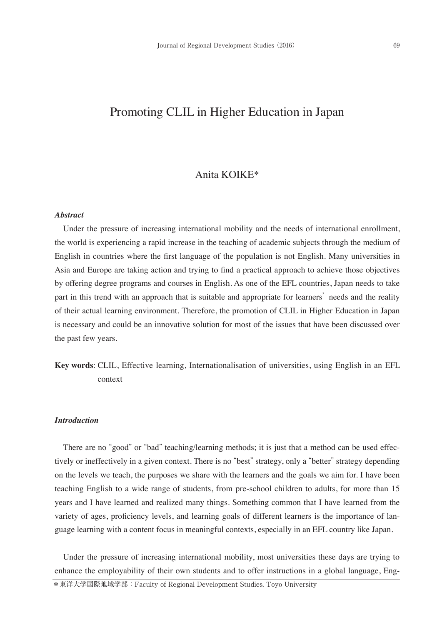# Promoting CLIL in Higher Education in Japan

## Anita KOIKE\*

#### *Abstract*

Under the pressure of increasing international mobility and the needs of international enrollment, the world is experiencing a rapid increase in the teaching of academic subjects through the medium of English in countries where the first language of the population is not English. Many universities in Asia and Europe are taking action and trying to find a practical approach to achieve those objectives by offering degree programs and courses in English. As one of the EFL countries, Japan needs to take part in this trend with an approach that is suitable and appropriate for learners' needs and the reality of their actual learning environment. Therefore, the promotion of CLIL in Higher Education in Japan is necessary and could be an innovative solution for most of the issues that have been discussed over the past few years.

**Key words**: CLIL, Effective learning, Internationalisation of universities, using English in an EFL context

### *Introduction*

There are no "good" or "bad" teaching/learning methods; it is just that a method can be used effectively or ineffectively in a given context. There is no "best" strategy, only a "better" strategy depending on the levels we teach, the purposes we share with the learners and the goals we aim for. I have been teaching English to a wide range of students, from pre-school children to adults, for more than 15 years and I have learned and realized many things. Something common that I have learned from the variety of ages, proficiency levels, and learning goals of different learners is the importance of language learning with a content focus in meaningful contexts, especially in an EFL country like Japan.

Under the pressure of increasing international mobility, most universities these days are trying to enhance the employability of their own students and to offer instructions in a global language, Eng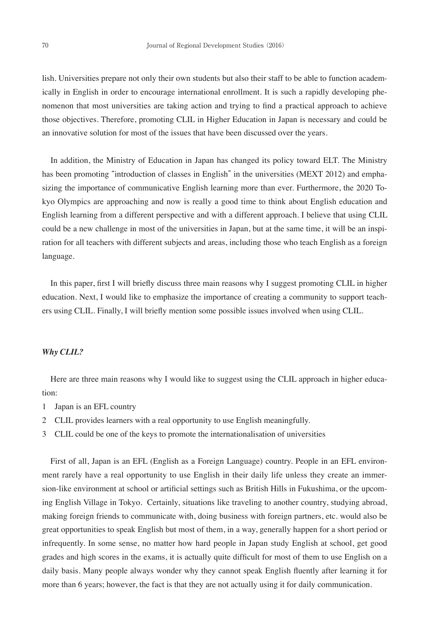lish. Universities prepare not only their own students but also their staff to be able to function academically in English in order to encourage international enrollment. It is such a rapidly developing phenomenon that most universities are taking action and trying to find a practical approach to achieve those objectives. Therefore, promoting CLIL in Higher Education in Japan is necessary and could be an innovative solution for most of the issues that have been discussed over the years.

In addition, the Ministry of Education in Japan has changed its policy toward ELT. The Ministry has been promoting "introduction of classes in English" in the universities (MEXT 2012) and emphasizing the importance of communicative English learning more than ever. Furthermore, the 2020 Tokyo Olympics are approaching and now is really a good time to think about English education and English learning from a different perspective and with a different approach. I believe that using CLIL could be a new challenge in most of the universities in Japan, but at the same time, it will be an inspiration for all teachers with different subjects and areas, including those who teach English as a foreign language.

In this paper, first I will briefly discuss three main reasons why I suggest promoting CLIL in higher education. Next, I would like to emphasize the importance of creating a community to support teachers using CLIL. Finally, I will briefly mention some possible issues involved when using CLIL.

#### *Why CLIL?*

Here are three main reasons why I would like to suggest using the CLIL approach in higher education:

- 1 Japan is an EFL country
- 2 CLIL provides learners with a real opportunity to use English meaningfully.
- 3 CLIL could be one of the keys to promote the internationalisation of universities

First of all, Japan is an EFL (English as a Foreign Language) country. People in an EFL environment rarely have a real opportunity to use English in their daily life unless they create an immersion-like environment at school or artificial settings such as British Hills in Fukushima, or the upcoming English Village in Tokyo. Certainly, situations like traveling to another country, studying abroad, making foreign friends to communicate with, doing business with foreign partners, etc. would also be great opportunities to speak English but most of them, in a way, generally happen for a short period or infrequently. In some sense, no matter how hard people in Japan study English at school, get good grades and high scores in the exams, it is actually quite difficult for most of them to use English on a daily basis. Many people always wonder why they cannot speak English fluently after learning it for more than 6 years; however, the fact is that they are not actually using it for daily communication.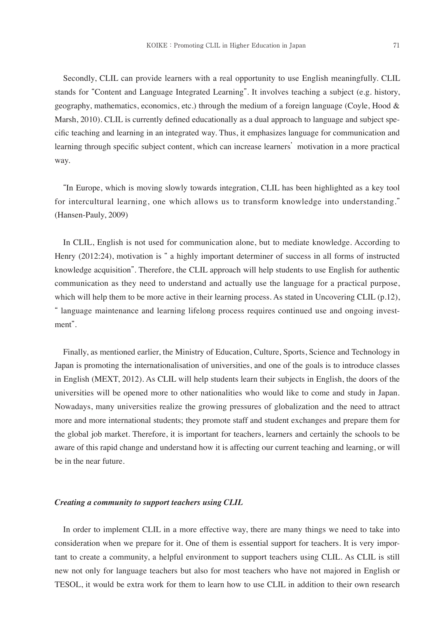Secondly, CLIL can provide learners with a real opportunity to use English meaningfully. CLIL stands for "Content and Language Integrated Learning". It involves teaching a subject (e.g. history, geography, mathematics, economics, etc.) through the medium of a foreign language (Coyle, Hood & Marsh, 2010). CLIL is currently defined educationally as a dual approach to language and subject specific teaching and learning in an integrated way. Thus, it emphasizes language for communication and learning through specific subject content, which can increase learners' motivation in a more practical way.

 "In Europe, which is moving slowly towards integration, CLIL has been highlighted as a key tool for intercultural learning, one which allows us to transform knowledge into understanding." (Hansen-Pauly, 2009)

In CLIL, English is not used for communication alone, but to mediate knowledge. According to Henry (2012:24), motivation is " a highly important determiner of success in all forms of instructed knowledge acquisition". Therefore, the CLIL approach will help students to use English for authentic communication as they need to understand and actually use the language for a practical purpose, which will help them to be more active in their learning process. As stated in Uncovering CLIL (p.12), " language maintenance and learning lifelong process requires continued use and ongoing investment".

Finally, as mentioned earlier, the Ministry of Education, Culture, Sports, Science and Technology in Japan is promoting the internationalisation of universities, and one of the goals is to introduce classes in English (MEXT, 2012). As CLIL will help students learn their subjects in English, the doors of the universities will be opened more to other nationalities who would like to come and study in Japan. Nowadays, many universities realize the growing pressures of globalization and the need to attract more and more international students; they promote staff and student exchanges and prepare them for the global job market. Therefore, it is important for teachers, learners and certainly the schools to be aware of this rapid change and understand how it is affecting our current teaching and learning, or will be in the near future.

#### *Creating a community to support teachers using CLIL*

In order to implement CLIL in a more effective way, there are many things we need to take into consideration when we prepare for it. One of them is essential support for teachers. It is very important to create a community, a helpful environment to support teachers using CLIL. As CLIL is still new not only for language teachers but also for most teachers who have not majored in English or TESOL, it would be extra work for them to learn how to use CLIL in addition to their own research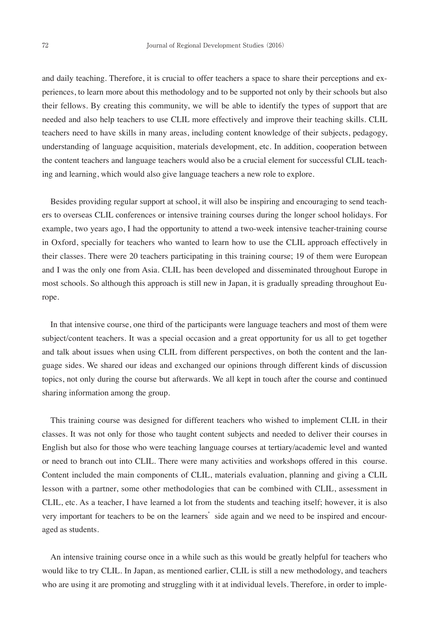and daily teaching. Therefore, it is crucial to offer teachers a space to share their perceptions and experiences, to learn more about this methodology and to be supported not only by their schools but also their fellows. By creating this community, we will be able to identify the types of support that are needed and also help teachers to use CLIL more effectively and improve their teaching skills. CLIL teachers need to have skills in many areas, including content knowledge of their subjects, pedagogy, understanding of language acquisition, materials development, etc. In addition, cooperation between the content teachers and language teachers would also be a crucial element for successful CLIL teaching and learning, which would also give language teachers a new role to explore.

Besides providing regular support at school, it will also be inspiring and encouraging to send teachers to overseas CLIL conferences or intensive training courses during the longer school holidays. For example, two years ago, I had the opportunity to attend a two-week intensive teacher-training course in Oxford, specially for teachers who wanted to learn how to use the CLIL approach effectively in their classes. There were 20 teachers participating in this training course; 19 of them were European and I was the only one from Asia. CLIL has been developed and disseminated throughout Europe in most schools. So although this approach is still new in Japan, it is gradually spreading throughout Europe.

In that intensive course, one third of the participants were language teachers and most of them were subject/content teachers. It was a special occasion and a great opportunity for us all to get together and talk about issues when using CLIL from different perspectives, on both the content and the language sides. We shared our ideas and exchanged our opinions through different kinds of discussion topics, not only during the course but afterwards. We all kept in touch after the course and continued sharing information among the group.

This training course was designed for different teachers who wished to implement CLIL in their classes. It was not only for those who taught content subjects and needed to deliver their courses in English but also for those who were teaching language courses at tertiary/academic level and wanted or need to branch out into CLIL. There were many activities and workshops offered in this course. Content included the main components of CLIL, materials evaluation, planning and giving a CLIL lesson with a partner, some other methodologies that can be combined with CLIL, assessment in CLIL, etc. As a teacher, I have learned a lot from the students and teaching itself; however, it is also very important for teachers to be on the learners' side again and we need to be inspired and encouraged as students.

An intensive training course once in a while such as this would be greatly helpful for teachers who would like to try CLIL. In Japan, as mentioned earlier, CLIL is still a new methodology, and teachers who are using it are promoting and struggling with it at individual levels. Therefore, in order to imple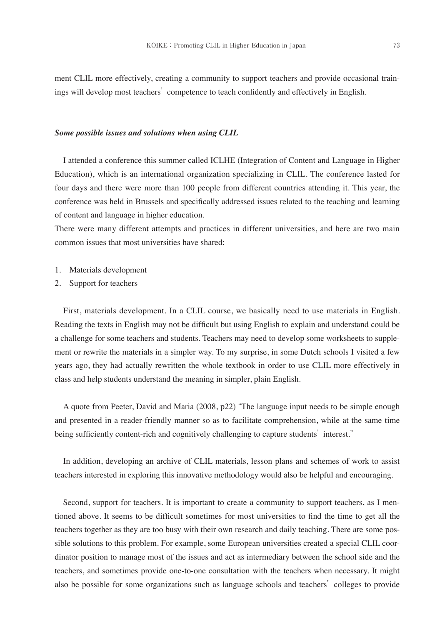ment CLIL more effectively, creating a community to support teachers and provide occasional trainings will develop most teachers' competence to teach confidently and effectively in English.

#### *Some possible issues and solutions when using CLIL*

I attended a conference this summer called ICLHE (Integration of Content and Language in Higher Education), which is an international organization specializing in CLIL. The conference lasted for four days and there were more than 100 people from different countries attending it. This year, the conference was held in Brussels and specifically addressed issues related to the teaching and learning of content and language in higher education.

There were many different attempts and practices in different universities, and here are two main common issues that most universities have shared:

- 1. Materials development
- 2. Support for teachers

First, materials development. In a CLIL course, we basically need to use materials in English. Reading the texts in English may not be difficult but using English to explain and understand could be a challenge for some teachers and students. Teachers may need to develop some worksheets to supplement or rewrite the materials in a simpler way. To my surprise, in some Dutch schools I visited a few years ago, they had actually rewritten the whole textbook in order to use CLIL more effectively in class and help students understand the meaning in simpler, plain English.

A quote from Peeter, David and Maria (2008, p22) "The language input needs to be simple enough and presented in a reader-friendly manner so as to facilitate comprehension, while at the same time being sufficiently content-rich and cognitively challenging to capture students' interest."

In addition, developing an archive of CLIL materials, lesson plans and schemes of work to assist teachers interested in exploring this innovative methodology would also be helpful and encouraging.

Second, support for teachers. It is important to create a community to support teachers, as I mentioned above. It seems to be difficult sometimes for most universities to find the time to get all the teachers together as they are too busy with their own research and daily teaching. There are some possible solutions to this problem. For example, some European universities created a special CLIL coordinator position to manage most of the issues and act as intermediary between the school side and the teachers, and sometimes provide one-to-one consultation with the teachers when necessary. It might also be possible for some organizations such as language schools and teachers' colleges to provide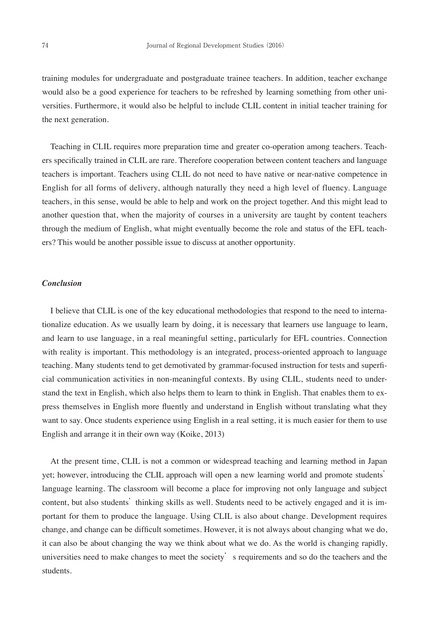training modules for undergraduate and postgraduate trainee teachers. In addition, teacher exchange would also be a good experience for teachers to be refreshed by learning something from other universities. Furthermore, it would also be helpful to include CLIL content in initial teacher training for the next generation.

Teaching in CLIL requires more preparation time and greater co-operation among teachers. Teachers specifically trained in CLIL are rare. Therefore cooperation between content teachers and language teachers is important. Teachers using CLIL do not need to have native or near-native competence in English for all forms of delivery, although naturally they need a high level of fluency. Language teachers, in this sense, would be able to help and work on the project together. And this might lead to another question that, when the majority of courses in a university are taught by content teachers through the medium of English, what might eventually become the role and status of the EFL teachers? This would be another possible issue to discuss at another opportunity.

#### *Conclusion*

I believe that CLIL is one of the key educational methodologies that respond to the need to internationalize education. As we usually learn by doing, it is necessary that learners use language to learn, and learn to use language, in a real meaningful setting, particularly for EFL countries. Connection with reality is important. This methodology is an integrated, process-oriented approach to language teaching. Many students tend to get demotivated by grammar-focused instruction for tests and superficial communication activities in non-meaningful contexts. By using CLIL, students need to understand the text in English, which also helps them to learn to think in English. That enables them to express themselves in English more fluently and understand in English without translating what they want to say. Once students experience using English in a real setting, it is much easier for them to use English and arrange it in their own way (Koike, 2013)

At the present time, CLIL is not a common or widespread teaching and learning method in Japan yet; however, introducing the CLIL approach will open a new learning world and promote students' language learning. The classroom will become a place for improving not only language and subject content, but also students' thinking skills as well. Students need to be actively engaged and it is important for them to produce the language. Using CLIL is also about change. Development requires change, and change can be difficult sometimes. However, it is not always about changing what we do, it can also be about changing the way we think about what we do. As the world is changing rapidly, universities need to make changes to meet the society s requirements and so do the teachers and the students.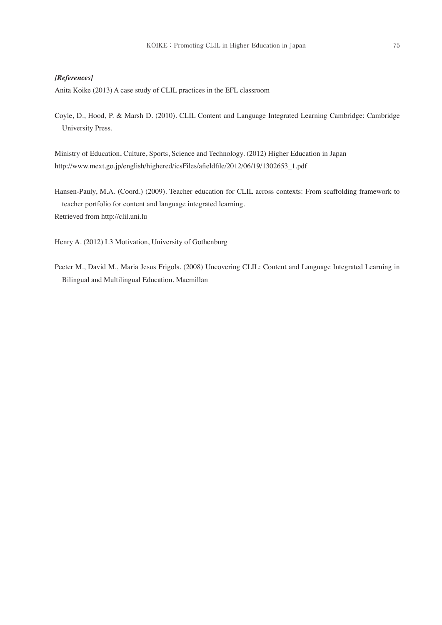#### *[References]*

Anita Koike (2013) A case study of CLIL practices in the EFL classroom

Coyle, D., Hood, P. & Marsh D. (2010). CLIL Content and Language Integrated Learning Cambridge: Cambridge University Press.

Ministry of Education, Culture, Sports, Science and Technology. (2012) Higher Education in Japan http://www.mext.go.jp/english/highered/icsFiles/afieldfile/2012/06/19/1302653\_1.pdf

Hansen-Pauly, M.A. (Coord.) (2009). Teacher education for CLIL across contexts: From scaffolding framework to teacher portfolio for content and language integrated learning. Retrieved from http://clil.uni.lu

Henry A. (2012) L3 Motivation, University of Gothenburg

Peeter M., David M., Maria Jesus Frigols. (2008) Uncovering CLIL: Content and Language Integrated Learning in Bilingual and Multilingual Education. Macmillan